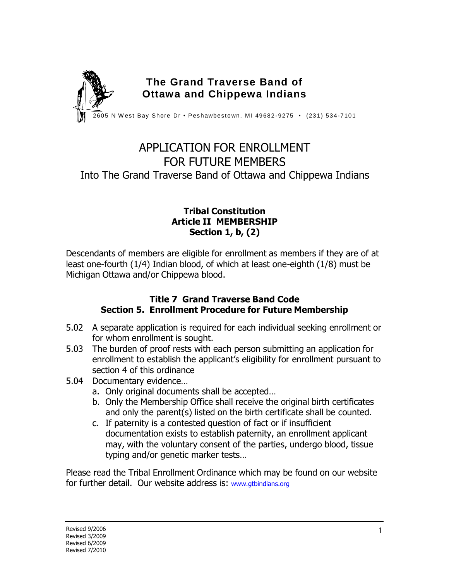

# APPLICATION FOR ENROLLMENT FOR FUTURE MEMBERS Into The Grand Traverse Band of Ottawa and Chippewa Indians

### **Tribal Constitution Article II MEMBERSHIP Section 1, b, (2)**

Descendants of members are eligible for enrollment as members if they are of at least one-fourth (1/4) Indian blood, of which at least one-eighth (1/8) must be Michigan Ottawa and/or Chippewa blood.

### **Title 7 Grand Traverse Band Code Section 5. Enrollment Procedure for Future Membership**

- 5.02 A separate application is required for each individual seeking enrollment or for whom enrollment is sought.
- 5.03 The burden of proof rests with each person submitting an application for enrollment to establish the applicant's eligibility for enrollment pursuant to section 4 of this ordinance
- 5.04 Documentary evidence…
	- a. Only original documents shall be accepted…
	- b. Only the Membership Office shall receive the original birth certificates and only the parent(s) listed on the birth certificate shall be counted.
	- c. If paternity is a contested question of fact or if insufficient documentation exists to establish paternity, an enrollment applicant may, with the voluntary consent of the parties, undergo blood, tissue typing and/or genetic marker tests…

Please read the Tribal Enrollment Ordinance which may be found on our website for further detail. Our website address is: [www.gtbindians.org](http://www.gtbindians.org/)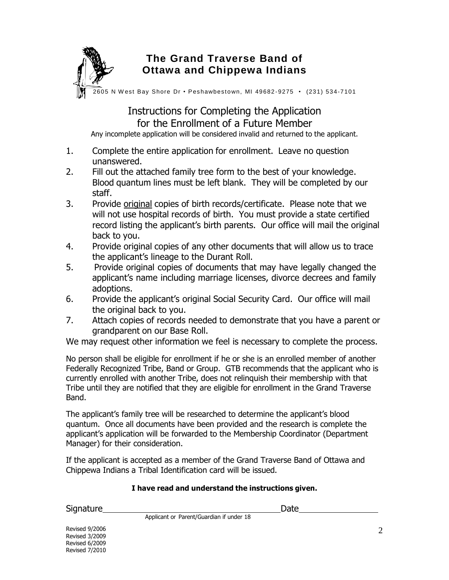

## **The Grand Traverse Band of Ottawa and Chippewa Indians**

 $\widetilde{2605}$  N West Bay Shore Dr • Peshawbestown, MI 49682-9275 • (231) 534-7101

## Instructions for Completing the Application for the Enrollment of a Future Member

Any incomplete application will be considered invalid and returned to the applicant.

- 1. Complete the entire application for enrollment. Leave no question unanswered.
- 2. Fill out the attached family tree form to the best of your knowledge. Blood quantum lines must be left blank. They will be completed by our staff.
- 3. Provide original copies of birth records/certificate. Please note that we will not use hospital records of birth. You must provide a state certified record listing the applicant's birth parents. Our office will mail the original back to you.
- 4. Provide original copies of any other documents that will allow us to trace the applicant's lineage to the Durant Roll.
- 5. Provide original copies of documents that may have legally changed the applicant's name including marriage licenses, divorce decrees and family adoptions.
- 6. Provide the applicant's original Social Security Card. Our office will mail the original back to you.
- 7. Attach copies of records needed to demonstrate that you have a parent or grandparent on our Base Roll.

We may request other information we feel is necessary to complete the process.

No person shall be eligible for enrollment if he or she is an enrolled member of another Federally Recognized Tribe, Band or Group. GTB recommends that the applicant who is currently enrolled with another Tribe, does not relinquish their membership with that Tribe until they are notified that they are eligible for enrollment in the Grand Traverse Band.

The applicant's family tree will be researched to determine the applicant's blood quantum. Once all documents have been provided and the research is complete the applicant's application will be forwarded to the Membership Coordinator (Department Manager) for their consideration.

If the applicant is accepted as a member of the Grand Traverse Band of Ottawa and Chippewa Indians a Tribal Identification card will be issued.

#### **I have read and understand the instructions given.**

Signature **Date** 

Applicant or Parent/Guardian if under 18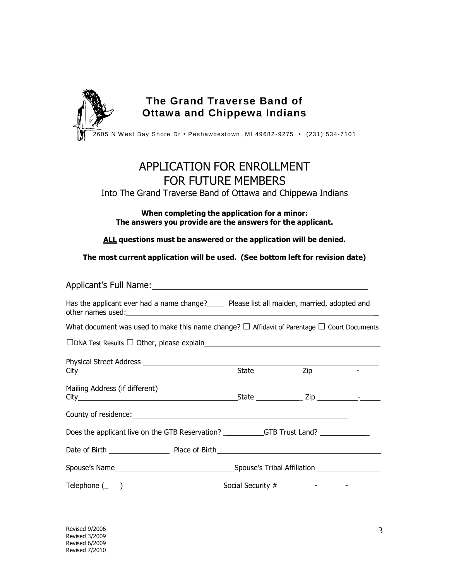

# APPLICATION FOR ENROLLMENT FOR FUTURE MEMBERS

#### Into The Grand Traverse Band of Ottawa and Chippewa Indians

**When completing the application for a minor: The answers you provide are the answers for the applicant.**

**ALL questions must be answered or the application will be denied.**

**The most current application will be used. (See bottom left for revision date)**

| Applicant's Full Name:<br><u>Applicant's Full Name:</u>                                                                                                                                                                                                                                                                                                                                                                                                             |  |  |
|---------------------------------------------------------------------------------------------------------------------------------------------------------------------------------------------------------------------------------------------------------------------------------------------------------------------------------------------------------------------------------------------------------------------------------------------------------------------|--|--|
| Has the applicant ever had a name change? Figure Please list all maiden, married, adopted and                                                                                                                                                                                                                                                                                                                                                                       |  |  |
| What document was used to make this name change? $\Box$ Affidavit of Parentage $\Box$ Court Documents                                                                                                                                                                                                                                                                                                                                                               |  |  |
|                                                                                                                                                                                                                                                                                                                                                                                                                                                                     |  |  |
|                                                                                                                                                                                                                                                                                                                                                                                                                                                                     |  |  |
|                                                                                                                                                                                                                                                                                                                                                                                                                                                                     |  |  |
|                                                                                                                                                                                                                                                                                                                                                                                                                                                                     |  |  |
| Does the applicant live on the GTB Reservation? ____________GTB Trust Land? ________________________                                                                                                                                                                                                                                                                                                                                                                |  |  |
|                                                                                                                                                                                                                                                                                                                                                                                                                                                                     |  |  |
|                                                                                                                                                                                                                                                                                                                                                                                                                                                                     |  |  |
| Telephone $\begin{array}{c} \begin{array}{c} \begin{array}{c} \end{array} \end{array}$ $\end{array}$ $\begin{array}{c} \end{array}$ $\begin{array}{c} \end{array}$ $\begin{array}{c} \end{array}$ $\begin{array}{c} \end{array}$ $\begin{array}{c} \end{array}$ $\begin{array}{c} \end{array}$ $\begin{array}{c} \end{array}$ $\begin{array}{c} \end{array}$ $\begin{array}{c} \end{array}$ $\begin{array}{c} \end{array}$ $\begin{array}{c} \end{array}$ $\begin{$ |  |  |